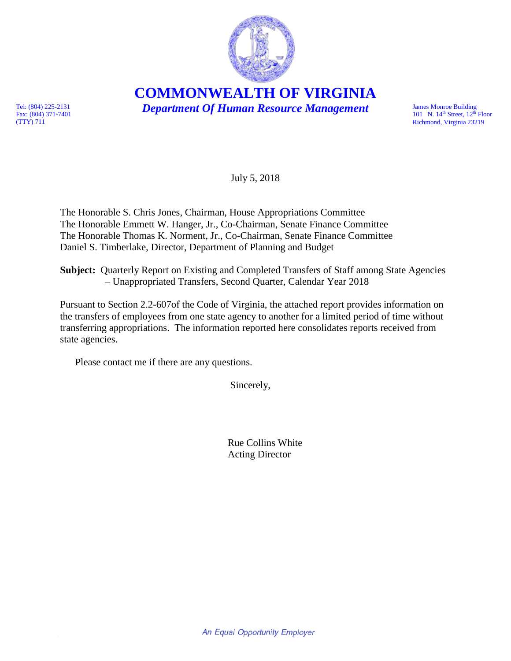

**COMMONWEALTH OF VIRGINIA**

*Department Of Human Resource Management* 

James Monroe Building<br>101 N.  $14<sup>th</sup>$  Street,  $12<sup>th</sup>$  Floor Richmond, Virginia 23219

Tel: (804) 225-2131 Fax: (804) 371-7401 (TTY) 711

July 5, 2018

The Honorable S. Chris Jones, Chairman, House Appropriations Committee The Honorable Emmett W. Hanger, Jr., Co-Chairman, Senate Finance Committee The Honorable Thomas K. Norment, Jr., Co-Chairman, Senate Finance Committee Daniel S. Timberlake, Director, Department of Planning and Budget

**Subject:** Quarterly Report on Existing and Completed Transfers of Staff among State Agencies – Unappropriated Transfers, Second Quarter, Calendar Year 2018

Pursuant to Section 2.2-607of the Code of Virginia, the attached report provides information on the transfers of employees from one state agency to another for a limited period of time without transferring appropriations. The information reported here consolidates reports received from state agencies.

Please contact me if there are any questions.

Sincerely,

Rue Collins White Acting Director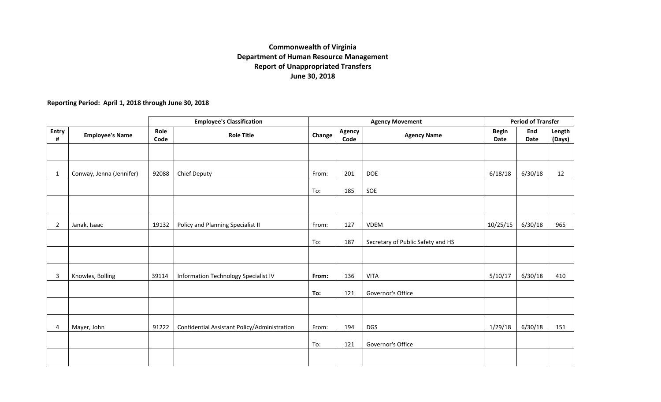## **Commonwealth of Virginia Department of Human Resource Management Report of Unappropriated Transfers June 30, 2018**

**Reporting Period: April 1, 2018 through June 30, 2018**

|                   |                          | <b>Employee's Classification</b> |                                              |        | <b>Agency Movement</b> |                                   |                      | <b>Period of Transfer</b> |                  |  |
|-------------------|--------------------------|----------------------------------|----------------------------------------------|--------|------------------------|-----------------------------------|----------------------|---------------------------|------------------|--|
| <b>Entry</b><br># | <b>Employee's Name</b>   | Role<br>Code                     | <b>Role Title</b>                            | Change | Agency<br>Code         | <b>Agency Name</b>                | <b>Begin</b><br>Date | End<br>Date               | Length<br>(Days) |  |
|                   |                          |                                  |                                              |        |                        |                                   |                      |                           |                  |  |
| $\mathbf{1}$      | Conway, Jenna (Jennifer) | 92088                            | Chief Deputy                                 | From:  | 201                    | <b>DOE</b>                        | 6/18/18              | 6/30/18                   | 12               |  |
|                   |                          |                                  |                                              | To:    | 185                    | SOE                               |                      |                           |                  |  |
|                   |                          |                                  |                                              |        |                        |                                   |                      |                           |                  |  |
| $\overline{2}$    | Janak, Isaac             | 19132                            | Policy and Planning Specialist II            | From:  | 127                    | VDEM                              | 10/25/15             | 6/30/18                   | 965              |  |
|                   |                          |                                  |                                              | To:    | 187                    | Secretary of Public Safety and HS |                      |                           |                  |  |
|                   |                          |                                  |                                              |        |                        |                                   |                      |                           |                  |  |
| 3                 | Knowles, Bolling         | 39114                            | Information Technology Specialist IV         | From:  | 136                    | <b>VITA</b>                       | 5/10/17              | 6/30/18                   | 410              |  |
|                   |                          |                                  |                                              | To:    | 121                    | Governor's Office                 |                      |                           |                  |  |
|                   |                          |                                  |                                              |        |                        |                                   |                      |                           |                  |  |
| 4                 | Mayer, John              | 91222                            | Confidential Assistant Policy/Administration | From:  | 194                    | <b>DGS</b>                        | 1/29/18              | 6/30/18                   | 151              |  |
|                   |                          |                                  |                                              | To:    | 121                    | Governor's Office                 |                      |                           |                  |  |
|                   |                          |                                  |                                              |        |                        |                                   |                      |                           |                  |  |